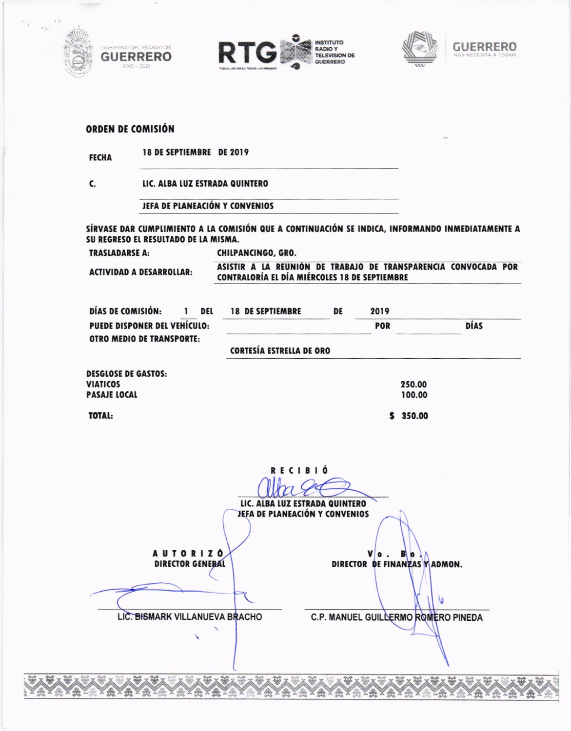







## ORDEN DE COMISIÓN

| 18 DE SEPTIEMBRE DE 2019<br><b>FECHA</b> |  |
|------------------------------------------|--|
|------------------------------------------|--|

C. LIC. ALBA LUZ ESTRADA QUINTERO

JEFA DE PLANEACIÓN Y CONVENIOS

SÍRVASE DAR CUMPLIMIENTO A LA COMISIÓN QUE A CONTINUACIÓN SE INDICA, INFORMANDO INMEDIATAMENTE A SU REGRESO EL RESULTADO DE LA MISMA.

**TRASLADARSE A:** CHILPANCINGO, GRO.

**ACTIVIDAD A DESARROLLAR:** 

ASISTIR A LA REUNIÓN DE TRABAJO DE TRANSPARENCIA CONVOCADA POR CONTRALORÍA EL DÍA MIÉRCOLES 18 DE SEPTIEMBRE

 $$350.00$ 

| DÍAS DE COMISIÓN:                | DEL | <b>18 DE SEPTIEMBRE</b>         | DE | 2019       |             |
|----------------------------------|-----|---------------------------------|----|------------|-------------|
| PUEDE DISPONER DEL VEHÍCULO:     |     |                                 |    | <b>POR</b> | <b>DÍAS</b> |
| <b>OTRO MEDIO DE TRANSPORTE:</b> |     | <b>CORTESÍA ESTRELLA DE ORO</b> |    |            |             |
| <b>DESGLOSE DE GASTOS:</b>       |     |                                 |    |            |             |
| <b>VIATICOS</b>                  |     |                                 |    | 250.00     |             |
| <b>PASAJE LOCAL</b>              |     |                                 |    | 100.00     |             |

TOTAL:

|                                            | LIC. ALBA LUZ ESTRADA QUINTERO<br>JEFA DE PLANEACIÓN Y CONVENIOS |
|--------------------------------------------|------------------------------------------------------------------|
| <b>AUTORIZO</b><br><b>DIRECTOR GENERAL</b> | DIRECTOR DE FINANZAS Y ADMON.                                    |
| LIC. BISMARK VILLANUEVA BRACHO             | C.P. MANUEL GUILLERMO ROMERO PINEDA                              |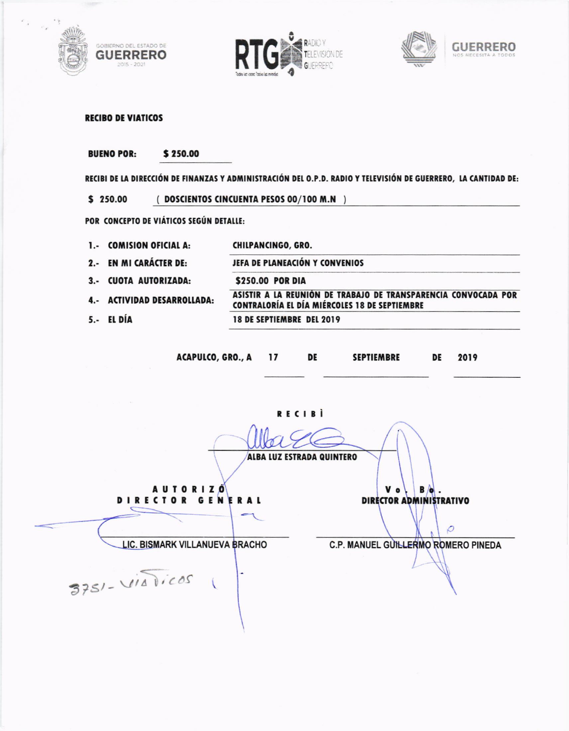







**RECIBO DE VIATICOS** 

**BUENO POR:** \$250.00

RECIBI DE LA DIRECCIÓN DE FINANZAS Y ADMINISTRACIÓN DEL O.P.D. RADIO Y TELEVISIÓN DE GUERRERO, LA CANTIDAD DE:

 $$250.00$ (DOSCIENTOS CINCUENTA PESOS 00/100 M.N )

POR CONCEPTO DE VIÁTICOS SEGÚN DETALLE:

| 1.- COMISION OFICIAL A:     | CHILPANCINGO, GRO.                                                                                              |
|-----------------------------|-----------------------------------------------------------------------------------------------------------------|
| 2.- EN MI CARÁCTER DE:      | JEFA DE PLANEACIÓN Y CONVENIOS                                                                                  |
| 3.- CUOTA AUTORIZADA:       | \$250.00 POR DIA                                                                                                |
| 4.- ACTIVIDAD DESARROLLADA: | ASISTIR A LA REUNIÓN DE TRABAJO DE TRANSPARENCIA CONVOCADA POR<br>CONTRALORÍA EL DÍA MIÉRCOLES 18 DE SEPTIEMBRE |
| 5.- EL DÍA                  | 18 DE SEPTIEMBRE DEL 2019                                                                                       |
|                             |                                                                                                                 |

ACAPULCO, GRO., A 17 **DE SEPTIEMBRE** DE 2019

RECIBI ALBA LUZ ESTRADA QUINTERO  $V<sub>o</sub>$  $B/\sqrt{q}$ . **AUTORIZO** DIRECTOR GENERAL **DIRECTOR ADMINISTRATIVO**  $\circ$ LIC. BISMARK VILLANUEVA BRACHO C.P. MANUEL GUILLERMO ROMERO PINEDA 3751-VIATICOS